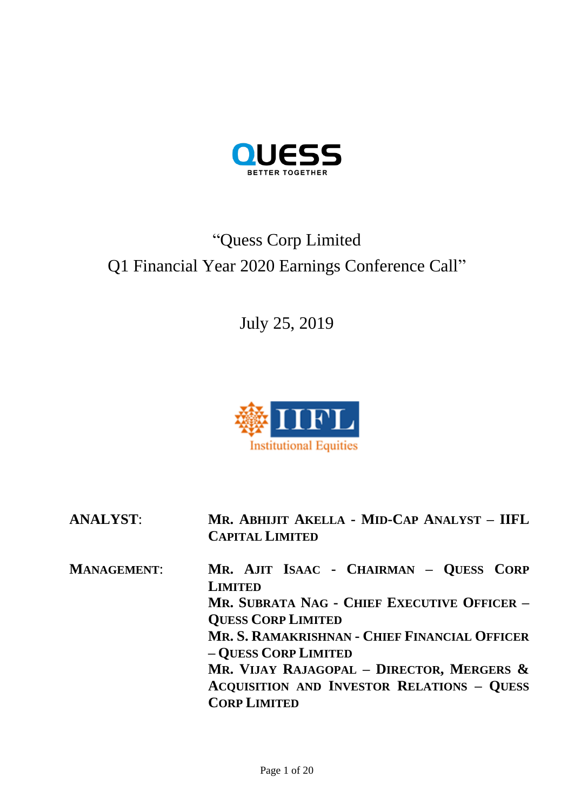

# "Quess Corp Limited Q1 Financial Year 2020 Earnings Conference Call"

July 25, 2019



**ANALYST**: **MR. ABHIJIT AKELLA - MID-CAP ANALYST – IIFL CAPITAL LIMITED**

**MANAGEMENT**: **MR. AJIT ISAAC - CHAIRMAN – QUESS CORP LIMITED MR. SUBRATA NAG - CHIEF EXECUTIVE OFFICER – QUESS CORP LIMITED MR. S. RAMAKRISHNAN - CHIEF FINANCIAL OFFICER – QUESS CORP LIMITED MR. VIJAY RAJAGOPAL – DIRECTOR, MERGERS & ACQUISITION AND INVESTOR RELATIONS – QUESS CORP LIMITED**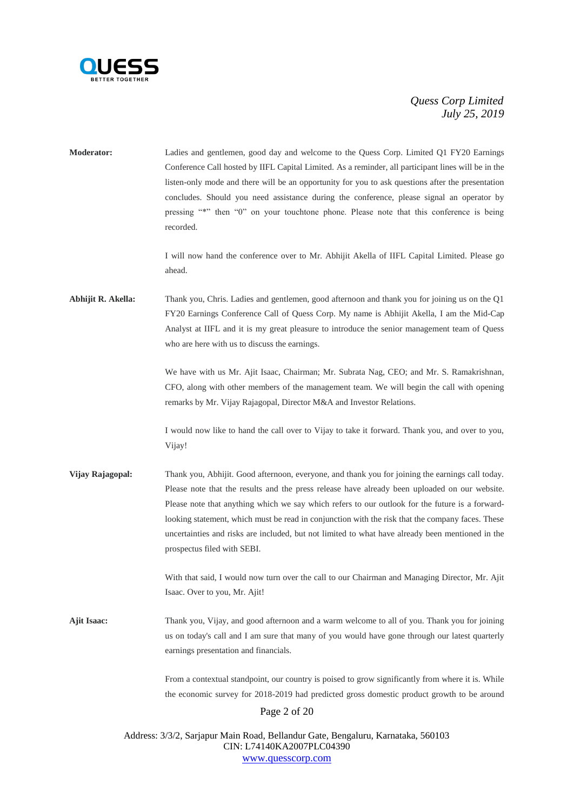

| <b>Moderator:</b>  | Ladies and gentlemen, good day and welcome to the Quess Corp. Limited Q1 FY20 Earnings<br>Conference Call hosted by IIFL Capital Limited. As a reminder, all participant lines will be in the                                                                                                                                                                                                                                                                                                                                               |  |
|--------------------|---------------------------------------------------------------------------------------------------------------------------------------------------------------------------------------------------------------------------------------------------------------------------------------------------------------------------------------------------------------------------------------------------------------------------------------------------------------------------------------------------------------------------------------------|--|
|                    | listen-only mode and there will be an opportunity for you to ask questions after the presentation<br>concludes. Should you need assistance during the conference, please signal an operator by<br>pressing "*" then "0" on your touchtone phone. Please note that this conference is being<br>recorded.                                                                                                                                                                                                                                     |  |
|                    | I will now hand the conference over to Mr. Abhijit Akella of IIFL Capital Limited. Please go<br>ahead.                                                                                                                                                                                                                                                                                                                                                                                                                                      |  |
| Abhijit R. Akella: | Thank you, Chris. Ladies and gentlemen, good afternoon and thank you for joining us on the Q1<br>FY20 Earnings Conference Call of Quess Corp. My name is Abhijit Akella, I am the Mid-Cap<br>Analyst at IIFL and it is my great pleasure to introduce the senior management team of Quess<br>who are here with us to discuss the earnings.                                                                                                                                                                                                  |  |
|                    | We have with us Mr. Ajit Isaac, Chairman; Mr. Subrata Nag, CEO; and Mr. S. Ramakrishnan,<br>CFO, along with other members of the management team. We will begin the call with opening<br>remarks by Mr. Vijay Rajagopal, Director M&A and Investor Relations.                                                                                                                                                                                                                                                                               |  |
|                    | I would now like to hand the call over to Vijay to take it forward. Thank you, and over to you,<br>Vijay!                                                                                                                                                                                                                                                                                                                                                                                                                                   |  |
| Vijay Rajagopal:   | Thank you, Abhijit. Good afternoon, everyone, and thank you for joining the earnings call today.<br>Please note that the results and the press release have already been uploaded on our website.<br>Please note that anything which we say which refers to our outlook for the future is a forward-<br>looking statement, which must be read in conjunction with the risk that the company faces. These<br>uncertainties and risks are included, but not limited to what have already been mentioned in the<br>prospectus filed with SEBI. |  |
|                    | With that said, I would now turn over the call to our Chairman and Managing Director, Mr. Ajit<br>Isaac. Over to you, Mr. Ajit!                                                                                                                                                                                                                                                                                                                                                                                                             |  |
| <b>Ajit Isaac:</b> | Thank you, Vijay, and good afternoon and a warm welcome to all of you. Thank you for joining<br>us on today's call and I am sure that many of you would have gone through our latest quarterly<br>earnings presentation and financials.                                                                                                                                                                                                                                                                                                     |  |
|                    | From a contextual standpoint, our country is poised to grow significantly from where it is. While<br>the economic survey for 2018-2019 had predicted gross domestic product growth to be around                                                                                                                                                                                                                                                                                                                                             |  |
| Page 2 of 20       |                                                                                                                                                                                                                                                                                                                                                                                                                                                                                                                                             |  |
|                    | Address: 3/3/2, Sarjapur Main Road, Bellandur Gate, Bengaluru, Karnataka, 560103<br>CIN: L74140KA2007PLC04390                                                                                                                                                                                                                                                                                                                                                                                                                               |  |

[www.quesscorp.com](http://www.quesscorp.com/)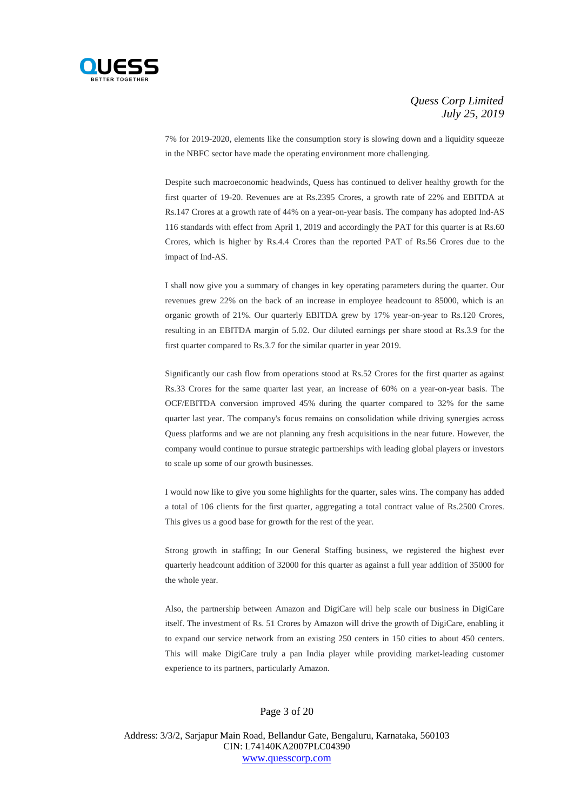

7% for 2019-2020, elements like the consumption story is slowing down and a liquidity squeeze in the NBFC sector have made the operating environment more challenging.

Despite such macroeconomic headwinds, Quess has continued to deliver healthy growth for the first quarter of 19-20. Revenues are at Rs.2395 Crores, a growth rate of 22% and EBITDA at Rs.147 Crores at a growth rate of 44% on a year-on-year basis. The company has adopted Ind-AS 116 standards with effect from April 1, 2019 and accordingly the PAT for this quarter is at Rs.60 Crores, which is higher by Rs.4.4 Crores than the reported PAT of Rs.56 Crores due to the impact of Ind-AS.

I shall now give you a summary of changes in key operating parameters during the quarter. Our revenues grew 22% on the back of an increase in employee headcount to 85000, which is an organic growth of 21%. Our quarterly EBITDA grew by 17% year-on-year to Rs.120 Crores, resulting in an EBITDA margin of 5.02. Our diluted earnings per share stood at Rs.3.9 for the first quarter compared to Rs.3.7 for the similar quarter in year 2019.

Significantly our cash flow from operations stood at Rs.52 Crores for the first quarter as against Rs.33 Crores for the same quarter last year, an increase of 60% on a year-on-year basis. The OCF/EBITDA conversion improved 45% during the quarter compared to 32% for the same quarter last year. The company's focus remains on consolidation while driving synergies across Quess platforms and we are not planning any fresh acquisitions in the near future. However, the company would continue to pursue strategic partnerships with leading global players or investors to scale up some of our growth businesses.

I would now like to give you some highlights for the quarter, sales wins. The company has added a total of 106 clients for the first quarter, aggregating a total contract value of Rs.2500 Crores. This gives us a good base for growth for the rest of the year.

Strong growth in staffing; In our General Staffing business, we registered the highest ever quarterly headcount addition of 32000 for this quarter as against a full year addition of 35000 for the whole year.

Also, the partnership between Amazon and DigiCare will help scale our business in DigiCare itself. The investment of Rs. 51 Crores by Amazon will drive the growth of DigiCare, enabling it to expand our service network from an existing 250 centers in 150 cities to about 450 centers. This will make DigiCare truly a pan India player while providing market-leading customer experience to its partners, particularly Amazon.

#### Page 3 of 20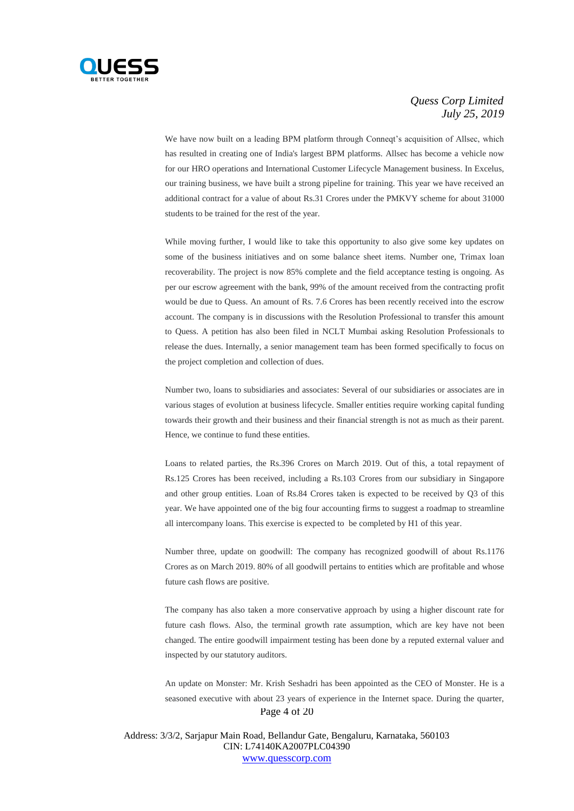

We have now built on a leading BPM platform through Conneqt's acquisition of Allsec, which has resulted in creating one of India's largest BPM platforms. Allsec has become a vehicle now for our HRO operations and International Customer Lifecycle Management business. In Excelus, our training business, we have built a strong pipeline for training. This year we have received an additional contract for a value of about Rs.31 Crores under the PMKVY scheme for about 31000 students to be trained for the rest of the year.

While moving further, I would like to take this opportunity to also give some key updates on some of the business initiatives and on some balance sheet items. Number one, Trimax loan recoverability. The project is now 85% complete and the field acceptance testing is ongoing. As per our escrow agreement with the bank, 99% of the amount received from the contracting profit would be due to Quess. An amount of Rs. 7.6 Crores has been recently received into the escrow account. The company is in discussions with the Resolution Professional to transfer this amount to Quess. A petition has also been filed in NCLT Mumbai asking Resolution Professionals to release the dues. Internally, a senior management team has been formed specifically to focus on the project completion and collection of dues.

Number two, loans to subsidiaries and associates: Several of our subsidiaries or associates are in various stages of evolution at business lifecycle. Smaller entities require working capital funding towards their growth and their business and their financial strength is not as much as their parent. Hence, we continue to fund these entities.

Loans to related parties, the Rs.396 Crores on March 2019. Out of this, a total repayment of Rs.125 Crores has been received, including a Rs.103 Crores from our subsidiary in Singapore and other group entities. Loan of Rs.84 Crores taken is expected to be received by Q3 of this year. We have appointed one of the big four accounting firms to suggest a roadmap to streamline all intercompany loans. This exercise is expected to be completed by H1 of this year.

Number three, update on goodwill: The company has recognized goodwill of about Rs.1176 Crores as on March 2019. 80% of all goodwill pertains to entities which are profitable and whose future cash flows are positive.

The company has also taken a more conservative approach by using a higher discount rate for future cash flows. Also, the terminal growth rate assumption, which are key have not been changed. The entire goodwill impairment testing has been done by a reputed external valuer and inspected by our statutory auditors.

Page 4 of 20 An update on Monster: Mr. Krish Seshadri has been appointed as the CEO of Monster. He is a seasoned executive with about 23 years of experience in the Internet space. During the quarter,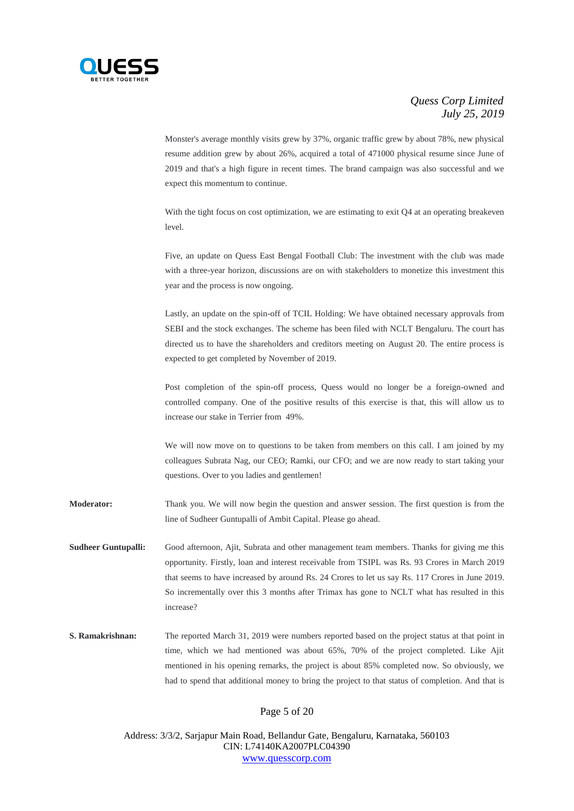

Monster's average monthly visits grew by 37%, organic traffic grew by about 78%, new physical resume addition grew by about 26%, acquired a total of 471000 physical resume since June of 2019 and that's a high figure in recent times. The brand campaign was also successful and we expect this momentum to continue.

With the tight focus on cost optimization, we are estimating to exit Q4 at an operating breakeven level.

Five, an update on Quess East Bengal Football Club: The investment with the club was made with a three-year horizon, discussions are on with stakeholders to monetize this investment this year and the process is now ongoing.

Lastly, an update on the spin-off of TCIL Holding: We have obtained necessary approvals from SEBI and the stock exchanges. The scheme has been filed with NCLT Bengaluru. The court has directed us to have the shareholders and creditors meeting on August 20. The entire process is expected to get completed by November of 2019.

Post completion of the spin-off process, Quess would no longer be a foreign-owned and controlled company. One of the positive results of this exercise is that, this will allow us to increase our stake in Terrier from 49%.

We will now move on to questions to be taken from members on this call. I am joined by my colleagues Subrata Nag, our CEO; Ramki, our CFO; and we are now ready to start taking your questions. Over to you ladies and gentlemen!

**Moderator:** Thank you. We will now begin the question and answer session. The first question is from the line of Sudheer Guntupalli of Ambit Capital. Please go ahead.

- **Sudheer Guntupalli:** Good afternoon, Ajit, Subrata and other management team members. Thanks for giving me this opportunity. Firstly, loan and interest receivable from TSIPL was Rs. 93 Crores in March 2019 that seems to have increased by around Rs. 24 Crores to let us say Rs. 117 Crores in June 2019. So incrementally over this 3 months after Trimax has gone to NCLT what has resulted in this increase?
- **S. Ramakrishnan:** The reported March 31, 2019 were numbers reported based on the project status at that point in time, which we had mentioned was about 65%, 70% of the project completed. Like Ajit mentioned in his opening remarks, the project is about 85% completed now. So obviously, we had to spend that additional money to bring the project to that status of completion. And that is

## Page 5 of 20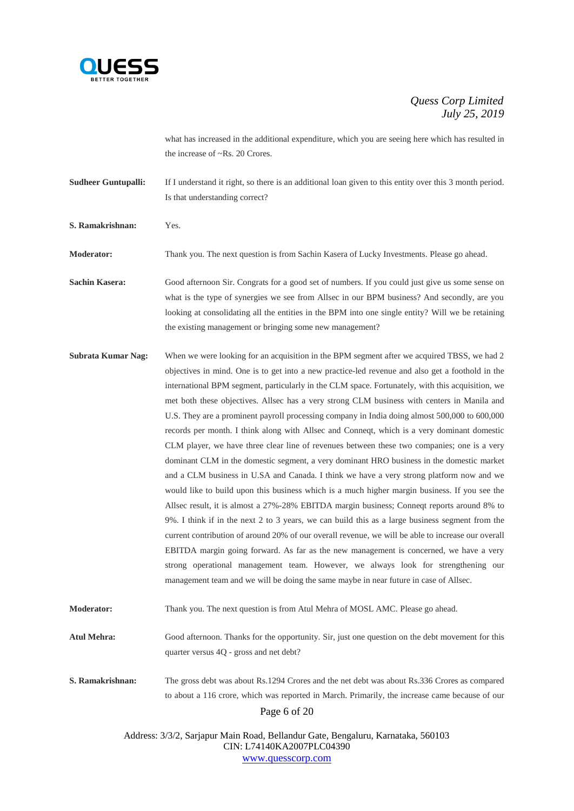

what has increased in the additional expenditure, which you are seeing here which has resulted in the increase of ~Rs. 20 Crores.

**Sudheer Guntupalli:** If I understand it right, so there is an additional loan given to this entity over this 3 month period. Is that understanding correct?

**S. Ramakrishnan:** Yes.

**Moderator:** Thank you. The next question is from Sachin Kasera of Lucky Investments. Please go ahead.

**Sachin Kasera:** Good afternoon Sir. Congrats for a good set of numbers. If you could just give us some sense on what is the type of synergies we see from Allsec in our BPM business? And secondly, are you looking at consolidating all the entities in the BPM into one single entity? Will we be retaining the existing management or bringing some new management?

**Subrata Kumar Nag:** When we were looking for an acquisition in the BPM segment after we acquired TBSS, we had 2 objectives in mind. One is to get into a new practice-led revenue and also get a foothold in the international BPM segment, particularly in the CLM space. Fortunately, with this acquisition, we met both these objectives. Allsec has a very strong CLM business with centers in Manila and U.S. They are a prominent payroll processing company in India doing almost 500,000 to 600,000 records per month. I think along with Allsec and Conneqt, which is a very dominant domestic CLM player, we have three clear line of revenues between these two companies; one is a very dominant CLM in the domestic segment, a very dominant HRO business in the domestic market and a CLM business in U.SA and Canada. I think we have a very strong platform now and we would like to build upon this business which is a much higher margin business. If you see the Allsec result, it is almost a 27%-28% EBITDA margin business; Conneqt reports around 8% to 9%. I think if in the next 2 to 3 years, we can build this as a large business segment from the current contribution of around 20% of our overall revenue, we will be able to increase our overall EBITDA margin going forward. As far as the new management is concerned, we have a very strong operational management team. However, we always look for strengthening our management team and we will be doing the same maybe in near future in case of Allsec.

**Moderator:** Thank you. The next question is from Atul Mehra of MOSL AMC. Please go ahead.

**Atul Mehra:** Good afternoon. Thanks for the opportunity. Sir, just one question on the debt movement for this quarter versus 4Q - gross and net debt?

**S. Ramakrishnan:** The gross debt was about Rs.1294 Crores and the net debt was about Rs.336 Crores as compared to about a 116 crore, which was reported in March. Primarily, the increase came because of our

Page 6 of 20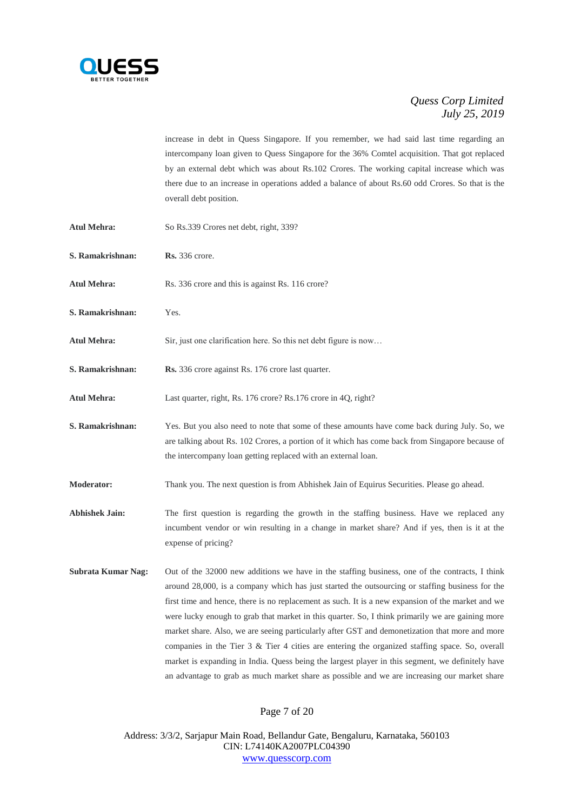

increase in debt in Quess Singapore. If you remember, we had said last time regarding an intercompany loan given to Quess Singapore for the 36% Comtel acquisition. That got replaced by an external debt which was about Rs.102 Crores. The working capital increase which was there due to an increase in operations added a balance of about Rs.60 odd Crores. So that is the overall debt position.

**Atul Mehra:** So Rs.339 Crores net debt, right, 339? **S. Ramakrishnan: Rs.** 336 crore. Atul Mehra: Rs. 336 crore and this is against Rs. 116 crore? **S. Ramakrishnan:** Yes. Atul Mehra: Sir, just one clarification here. So this net debt figure is now... **S. Ramakrishnan: Rs.** 336 crore against Rs. 176 crore last quarter. **Atul Mehra:** Last quarter, right, Rs. 176 crore? Rs.176 crore in 4Q, right? **S. Ramakrishnan:** Yes. But you also need to note that some of these amounts have come back during July. So, we are talking about Rs. 102 Crores, a portion of it which has come back from Singapore because of the intercompany loan getting replaced with an external loan. **Moderator:** Thank you. The next question is from Abhishek Jain of Equirus Securities. Please go ahead. **Abhishek Jain:** The first question is regarding the growth in the staffing business. Have we replaced any incumbent vendor or win resulting in a change in market share? And if yes, then is it at the expense of pricing? **Subrata Kumar Nag:** Out of the 32000 new additions we have in the staffing business, one of the contracts, I think around 28,000, is a company which has just started the outsourcing or staffing business for the first time and hence, there is no replacement as such. It is a new expansion of the market and we were lucky enough to grab that market in this quarter. So, I think primarily we are gaining more market share. Also, we are seeing particularly after GST and demonetization that more and more companies in the Tier 3 & Tier 4 cities are entering the organized staffing space. So, overall market is expanding in India. Quess being the largest player in this segment, we definitely have

Page 7 of 20

an advantage to grab as much market share as possible and we are increasing our market share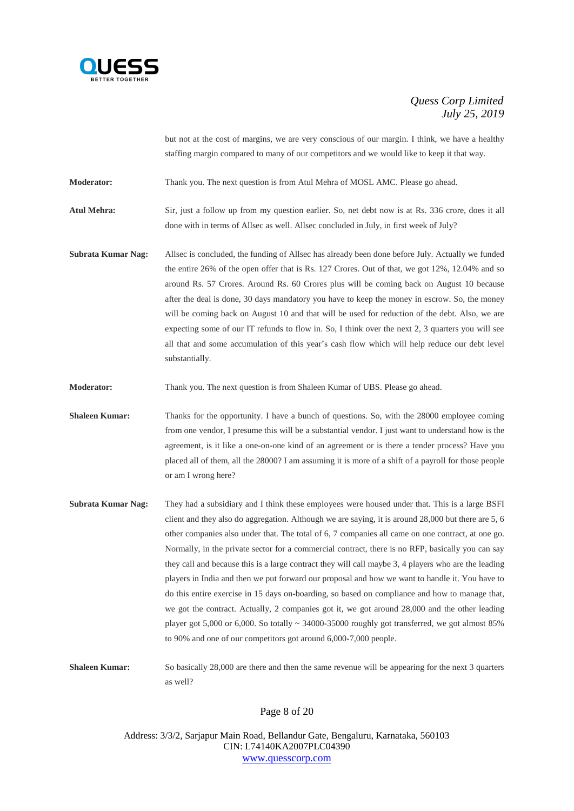

but not at the cost of margins, we are very conscious of our margin. I think, we have a healthy staffing margin compared to many of our competitors and we would like to keep it that way.

**Moderator:** Thank you. The next question is from Atul Mehra of MOSL AMC. Please go ahead.

**Atul Mehra:** Sir, just a follow up from my question earlier. So, net debt now is at Rs. 336 crore, does it all done with in terms of Allsec as well. Allsec concluded in July, in first week of July?

**Subrata Kumar Nag:** Allsec is concluded, the funding of Allsec has already been done before July. Actually we funded the entire 26% of the open offer that is Rs. 127 Crores. Out of that, we got 12%, 12.04% and so around Rs. 57 Crores. Around Rs. 60 Crores plus will be coming back on August 10 because after the deal is done, 30 days mandatory you have to keep the money in escrow. So, the money will be coming back on August 10 and that will be used for reduction of the debt. Also, we are expecting some of our IT refunds to flow in. So, I think over the next 2, 3 quarters you will see all that and some accumulation of this year's cash flow which will help reduce our debt level substantially.

**Moderator:** Thank you. The next question is from Shaleen Kumar of UBS. Please go ahead.

**Shaleen Kumar:** Thanks for the opportunity. I have a bunch of questions. So, with the 28000 employee coming from one vendor, I presume this will be a substantial vendor. I just want to understand how is the agreement, is it like a one-on-one kind of an agreement or is there a tender process? Have you placed all of them, all the 28000? I am assuming it is more of a shift of a payroll for those people or am I wrong here?

**Subrata Kumar Nag:** They had a subsidiary and I think these employees were housed under that. This is a large BSFI client and they also do aggregation. Although we are saying, it is around 28,000 but there are 5, 6 other companies also under that. The total of 6, 7 companies all came on one contract, at one go. Normally, in the private sector for a commercial contract, there is no RFP, basically you can say they call and because this is a large contract they will call maybe 3, 4 players who are the leading players in India and then we put forward our proposal and how we want to handle it. You have to do this entire exercise in 15 days on-boarding, so based on compliance and how to manage that, we got the contract. Actually, 2 companies got it, we got around 28,000 and the other leading player got 5,000 or 6,000. So totally ~ 34000-35000 roughly got transferred, we got almost 85% to 90% and one of our competitors got around 6,000-7,000 people.

**Shaleen Kumar:** So basically 28,000 are there and then the same revenue will be appearing for the next 3 quarters as well?

Page 8 of 20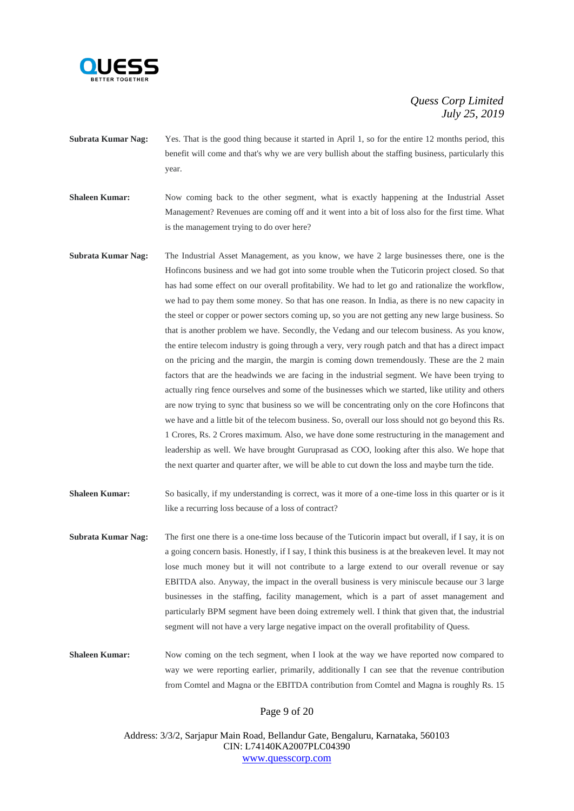

- **Subrata Kumar Nag:** Yes. That is the good thing because it started in April 1, so for the entire 12 months period, this benefit will come and that's why we are very bullish about the staffing business, particularly this year.
- **Shaleen Kumar:** Now coming back to the other segment, what is exactly happening at the Industrial Asset Management? Revenues are coming off and it went into a bit of loss also for the first time. What is the management trying to do over here?
- **Subrata Kumar Nag:** The Industrial Asset Management, as you know, we have 2 large businesses there, one is the Hofincons business and we had got into some trouble when the Tuticorin project closed. So that has had some effect on our overall profitability. We had to let go and rationalize the workflow, we had to pay them some money. So that has one reason. In India, as there is no new capacity in the steel or copper or power sectors coming up, so you are not getting any new large business. So that is another problem we have. Secondly, the Vedang and our telecom business. As you know, the entire telecom industry is going through a very, very rough patch and that has a direct impact on the pricing and the margin, the margin is coming down tremendously. These are the 2 main factors that are the headwinds we are facing in the industrial segment. We have been trying to actually ring fence ourselves and some of the businesses which we started, like utility and others are now trying to sync that business so we will be concentrating only on the core Hofincons that we have and a little bit of the telecom business. So, overall our loss should not go beyond this Rs. 1 Crores, Rs. 2 Crores maximum. Also, we have done some restructuring in the management and leadership as well. We have brought Guruprasad as COO, looking after this also. We hope that the next quarter and quarter after, we will be able to cut down the loss and maybe turn the tide.
- **Shaleen Kumar:** So basically, if my understanding is correct, was it more of a one-time loss in this quarter or is it like a recurring loss because of a loss of contract?
- **Subrata Kumar Nag:** The first one there is a one-time loss because of the Tuticorin impact but overall, if I say, it is on a going concern basis. Honestly, if I say, I think this business is at the breakeven level. It may not lose much money but it will not contribute to a large extend to our overall revenue or say EBITDA also. Anyway, the impact in the overall business is very miniscule because our 3 large businesses in the staffing, facility management, which is a part of asset management and particularly BPM segment have been doing extremely well. I think that given that, the industrial segment will not have a very large negative impact on the overall profitability of Quess.

**Shaleen Kumar:** Now coming on the tech segment, when I look at the way we have reported now compared to way we were reporting earlier, primarily, additionally I can see that the revenue contribution from Comtel and Magna or the EBITDA contribution from Comtel and Magna is roughly Rs. 15

Page 9 of 20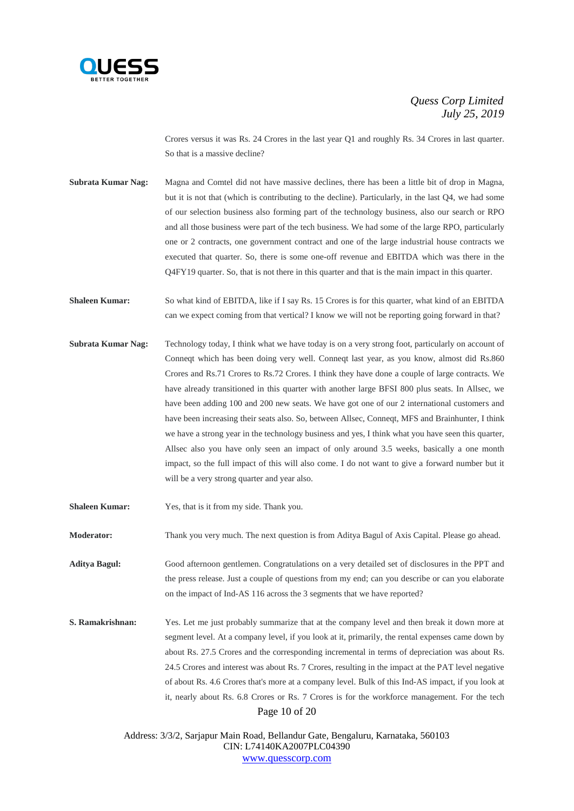

Crores versus it was Rs. 24 Crores in the last year Q1 and roughly Rs. 34 Crores in last quarter. So that is a massive decline?

**Subrata Kumar Nag:** Magna and Comtel did not have massive declines, there has been a little bit of drop in Magna, but it is not that (which is contributing to the decline). Particularly, in the last Q4, we had some of our selection business also forming part of the technology business, also our search or RPO and all those business were part of the tech business. We had some of the large RPO, particularly one or 2 contracts, one government contract and one of the large industrial house contracts we executed that quarter. So, there is some one-off revenue and EBITDA which was there in the Q4FY19 quarter. So, that is not there in this quarter and that is the main impact in this quarter.

**Shaleen Kumar:** So what kind of EBITDA, like if I say Rs. 15 Crores is for this quarter, what kind of an EBITDA can we expect coming from that vertical? I know we will not be reporting going forward in that?

- **Subrata Kumar Nag:** Technology today, I think what we have today is on a very strong foot, particularly on account of Conneqt which has been doing very well. Conneqt last year, as you know, almost did Rs.860 Crores and Rs.71 Crores to Rs.72 Crores. I think they have done a couple of large contracts. We have already transitioned in this quarter with another large BFSI 800 plus seats. In Allsec, we have been adding 100 and 200 new seats. We have got one of our 2 international customers and have been increasing their seats also. So, between Allsec, Conneqt, MFS and Brainhunter, I think we have a strong year in the technology business and yes, I think what you have seen this quarter, Allsec also you have only seen an impact of only around 3.5 weeks, basically a one month impact, so the full impact of this will also come. I do not want to give a forward number but it will be a very strong quarter and year also.
- **Shaleen Kumar:** Yes, that is it from my side. Thank you.

**Moderator:** Thank you very much. The next question is from Aditya Bagul of Axis Capital. Please go ahead.

**Aditya Bagul:** Good afternoon gentlemen. Congratulations on a very detailed set of disclosures in the PPT and the press release. Just a couple of questions from my end; can you describe or can you elaborate on the impact of Ind-AS 116 across the 3 segments that we have reported?

Page 10 of 20 **S. Ramakrishnan:** Yes. Let me just probably summarize that at the company level and then break it down more at segment level. At a company level, if you look at it, primarily, the rental expenses came down by about Rs. 27.5 Crores and the corresponding incremental in terms of depreciation was about Rs. 24.5 Crores and interest was about Rs. 7 Crores, resulting in the impact at the PAT level negative of about Rs. 4.6 Crores that's more at a company level. Bulk of this Ind-AS impact, if you look at it, nearly about Rs. 6.8 Crores or Rs. 7 Crores is for the workforce management. For the tech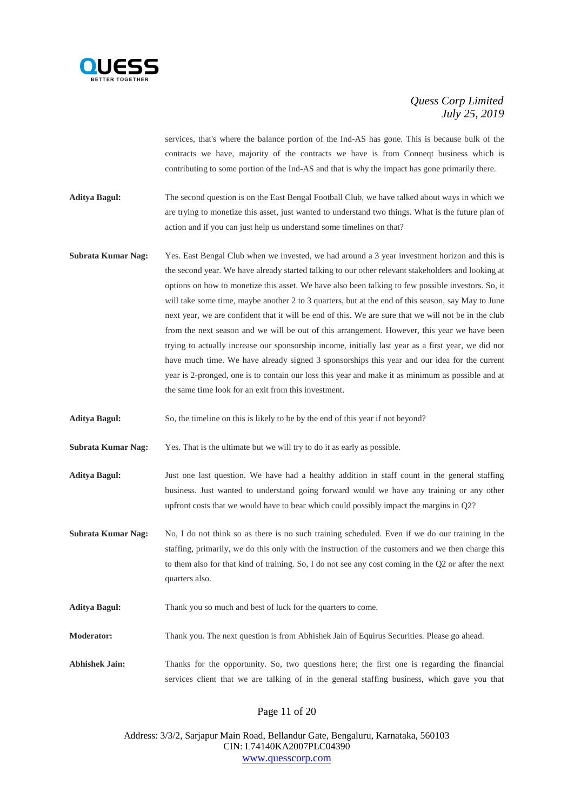

services, that's where the balance portion of the Ind-AS has gone. This is because bulk of the contracts we have, majority of the contracts we have is from Conneqt business which is contributing to some portion of the Ind-AS and that is why the impact has gone primarily there.

**Aditya Bagul:** The second question is on the East Bengal Football Club, we have talked about ways in which we are trying to monetize this asset, just wanted to understand two things. What is the future plan of action and if you can just help us understand some timelines on that?

- **Subrata Kumar Nag:** Yes. East Bengal Club when we invested, we had around a 3 year investment horizon and this is the second year. We have already started talking to our other relevant stakeholders and looking at options on how to monetize this asset. We have also been talking to few possible investors. So, it will take some time, maybe another 2 to 3 quarters, but at the end of this season, say May to June next year, we are confident that it will be end of this. We are sure that we will not be in the club from the next season and we will be out of this arrangement. However, this year we have been trying to actually increase our sponsorship income, initially last year as a first year, we did not have much time. We have already signed 3 sponsorships this year and our idea for the current year is 2-pronged, one is to contain our loss this year and make it as minimum as possible and at the same time look for an exit from this investment.
- **Aditya Bagul:** So, the timeline on this is likely to be by the end of this year if not beyond?
- **Subrata Kumar Nag:** Yes. That is the ultimate but we will try to do it as early as possible.
- **Aditya Bagul:** Just one last question. We have had a healthy addition in staff count in the general staffing business. Just wanted to understand going forward would we have any training or any other upfront costs that we would have to bear which could possibly impact the margins in Q2?
- **Subrata Kumar Nag:** No, I do not think so as there is no such training scheduled. Even if we do our training in the staffing, primarily, we do this only with the instruction of the customers and we then charge this to them also for that kind of training. So, I do not see any cost coming in the Q2 or after the next quarters also.
- **Aditya Bagul:** Thank you so much and best of luck for the quarters to come.
- **Moderator:** Thank you. The next question is from Abhishek Jain of Equirus Securities. Please go ahead.
- **Abhishek Jain:** Thanks for the opportunity. So, two questions here; the first one is regarding the financial services client that we are talking of in the general staffing business, which gave you that

## Page 11 of 20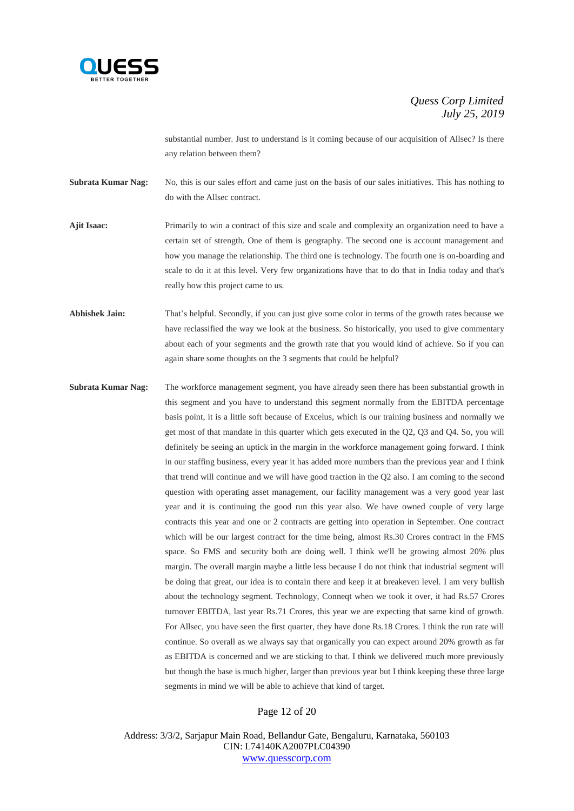

substantial number. Just to understand is it coming because of our acquisition of Allsec? Is there any relation between them?

**Subrata Kumar Nag:** No, this is our sales effort and came just on the basis of our sales initiatives. This has nothing to do with the Allsec contract.

**Ajit Isaac:** Primarily to win a contract of this size and scale and complexity an organization need to have a certain set of strength. One of them is geography. The second one is account management and how you manage the relationship. The third one is technology. The fourth one is on-boarding and scale to do it at this level. Very few organizations have that to do that in India today and that's really how this project came to us.

**Abhishek Jain:** That's helpful. Secondly, if you can just give some color in terms of the growth rates because we have reclassified the way we look at the business. So historically, you used to give commentary about each of your segments and the growth rate that you would kind of achieve. So if you can again share some thoughts on the 3 segments that could be helpful?

**Subrata Kumar Nag:** The workforce management segment, you have already seen there has been substantial growth in this segment and you have to understand this segment normally from the EBITDA percentage basis point, it is a little soft because of Excelus, which is our training business and normally we get most of that mandate in this quarter which gets executed in the Q2, Q3 and Q4. So, you will definitely be seeing an uptick in the margin in the workforce management going forward. I think in our staffing business, every year it has added more numbers than the previous year and I think that trend will continue and we will have good traction in the Q2 also. I am coming to the second question with operating asset management, our facility management was a very good year last year and it is continuing the good run this year also. We have owned couple of very large contracts this year and one or 2 contracts are getting into operation in September. One contract which will be our largest contract for the time being, almost Rs.30 Crores contract in the FMS space. So FMS and security both are doing well. I think we'll be growing almost 20% plus margin. The overall margin maybe a little less because I do not think that industrial segment will be doing that great, our idea is to contain there and keep it at breakeven level. I am very bullish about the technology segment. Technology, Conneqt when we took it over, it had Rs.57 Crores turnover EBITDA, last year Rs.71 Crores, this year we are expecting that same kind of growth. For Allsec, you have seen the first quarter, they have done Rs.18 Crores. I think the run rate will continue. So overall as we always say that organically you can expect around 20% growth as far as EBITDA is concerned and we are sticking to that. I think we delivered much more previously but though the base is much higher, larger than previous year but I think keeping these three large segments in mind we will be able to achieve that kind of target.

Page 12 of 20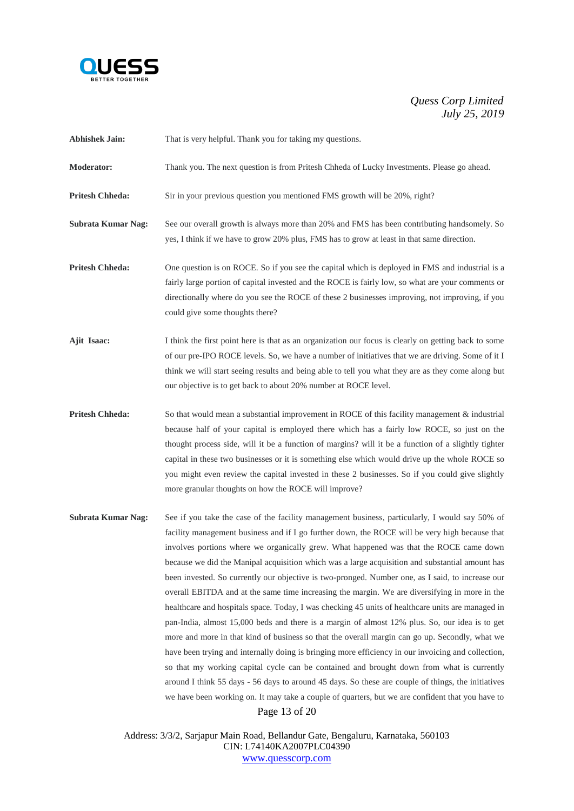

**Abhishek Jain:** That is very helpful. Thank you for taking my questions.

- **Moderator:** Thank you. The next question is from Pritesh Chheda of Lucky Investments. Please go ahead.
- **Pritesh Chheda:** Sir in your previous question you mentioned FMS growth will be 20%, right?
- **Subrata Kumar Nag:** See our overall growth is always more than 20% and FMS has been contributing handsomely. So yes, I think if we have to grow 20% plus, FMS has to grow at least in that same direction.
- **Pritesh Chheda:** One question is on ROCE. So if you see the capital which is deployed in FMS and industrial is a fairly large portion of capital invested and the ROCE is fairly low, so what are your comments or directionally where do you see the ROCE of these 2 businesses improving, not improving, if you could give some thoughts there?
- **Ajit Isaac:** I think the first point here is that as an organization our focus is clearly on getting back to some of our pre-IPO ROCE levels. So, we have a number of initiatives that we are driving. Some of it I think we will start seeing results and being able to tell you what they are as they come along but our objective is to get back to about 20% number at ROCE level.
- **Pritesh Chheda:** So that would mean a substantial improvement in ROCE of this facility management  $\&$  industrial because half of your capital is employed there which has a fairly low ROCE, so just on the thought process side, will it be a function of margins? will it be a function of a slightly tighter capital in these two businesses or it is something else which would drive up the whole ROCE so you might even review the capital invested in these 2 businesses. So if you could give slightly more granular thoughts on how the ROCE will improve?
- Page 13 of 20 **Subrata Kumar Nag:** See if you take the case of the facility management business, particularly, I would say 50% of facility management business and if I go further down, the ROCE will be very high because that involves portions where we organically grew. What happened was that the ROCE came down because we did the Manipal acquisition which was a large acquisition and substantial amount has been invested. So currently our objective is two-pronged. Number one, as I said, to increase our overall EBITDA and at the same time increasing the margin. We are diversifying in more in the healthcare and hospitals space. Today, I was checking 45 units of healthcare units are managed in pan-India, almost 15,000 beds and there is a margin of almost 12% plus. So, our idea is to get more and more in that kind of business so that the overall margin can go up. Secondly, what we have been trying and internally doing is bringing more efficiency in our invoicing and collection, so that my working capital cycle can be contained and brought down from what is currently around I think 55 days - 56 days to around 45 days. So these are couple of things, the initiatives we have been working on. It may take a couple of quarters, but we are confident that you have to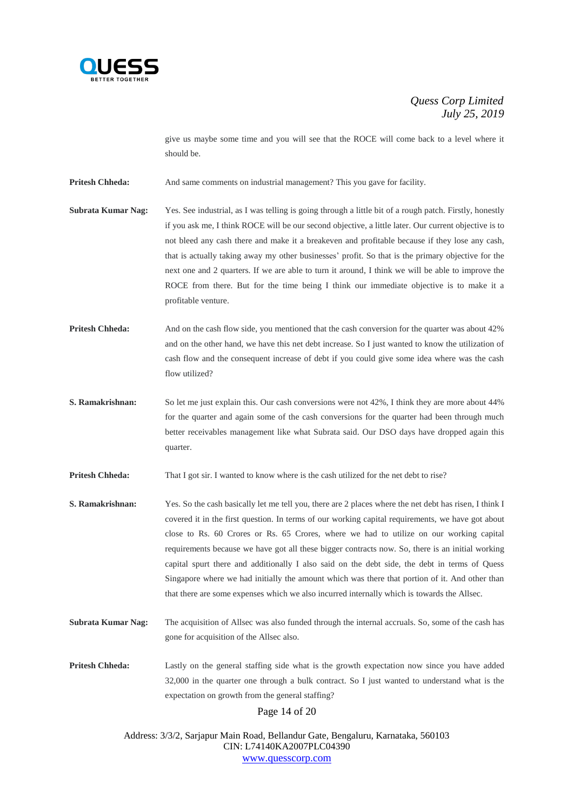

give us maybe some time and you will see that the ROCE will come back to a level where it should be.

**Pritesh Chheda:** And same comments on industrial management? This you gave for facility.

- **Subrata Kumar Nag:** Yes. See industrial, as I was telling is going through a little bit of a rough patch. Firstly, honestly if you ask me, I think ROCE will be our second objective, a little later. Our current objective is to not bleed any cash there and make it a breakeven and profitable because if they lose any cash, that is actually taking away my other businesses' profit. So that is the primary objective for the next one and 2 quarters. If we are able to turn it around, I think we will be able to improve the ROCE from there. But for the time being I think our immediate objective is to make it a profitable venture.
- **Pritesh Chheda:** And on the cash flow side, you mentioned that the cash conversion for the quarter was about 42% and on the other hand, we have this net debt increase. So I just wanted to know the utilization of cash flow and the consequent increase of debt if you could give some idea where was the cash flow utilized?
- **S. Ramakrishnan:** So let me just explain this. Our cash conversions were not 42%, I think they are more about 44% for the quarter and again some of the cash conversions for the quarter had been through much better receivables management like what Subrata said. Our DSO days have dropped again this quarter.

**Pritesh Chheda:** That I got sir. I wanted to know where is the cash utilized for the net debt to rise?

- **S. Ramakrishnan:** Yes. So the cash basically let me tell you, there are 2 places where the net debt has risen, I think I covered it in the first question. In terms of our working capital requirements, we have got about close to Rs. 60 Crores or Rs. 65 Crores, where we had to utilize on our working capital requirements because we have got all these bigger contracts now. So, there is an initial working capital spurt there and additionally I also said on the debt side, the debt in terms of Quess Singapore where we had initially the amount which was there that portion of it. And other than that there are some expenses which we also incurred internally which is towards the Allsec.
- **Subrata Kumar Nag:** The acquisition of Allsec was also funded through the internal accruals. So, some of the cash has gone for acquisition of the Allsec also.

**Pritesh Chheda:** Lastly on the general staffing side what is the growth expectation now since you have added 32,000 in the quarter one through a bulk contract. So I just wanted to understand what is the expectation on growth from the general staffing?

Page 14 of 20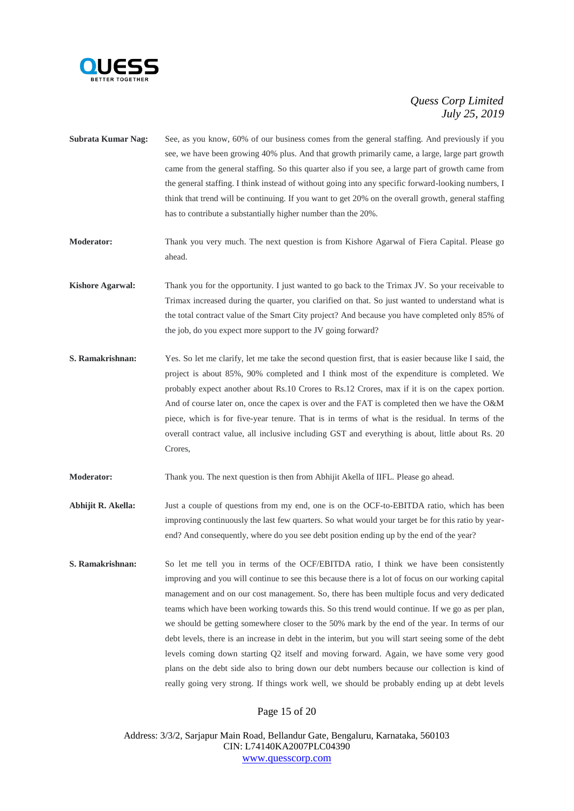

- **Subrata Kumar Nag:** See, as you know, 60% of our business comes from the general staffing. And previously if you see, we have been growing 40% plus. And that growth primarily came, a large, large part growth came from the general staffing. So this quarter also if you see, a large part of growth came from the general staffing. I think instead of without going into any specific forward-looking numbers, I think that trend will be continuing. If you want to get 20% on the overall growth, general staffing has to contribute a substantially higher number than the 20%.
- **Moderator:** Thank you very much. The next question is from Kishore Agarwal of Fiera Capital. Please go ahead.
- **Kishore Agarwal:** Thank you for the opportunity. I just wanted to go back to the Trimax JV. So your receivable to Trimax increased during the quarter, you clarified on that. So just wanted to understand what is the total contract value of the Smart City project? And because you have completed only 85% of the job, do you expect more support to the JV going forward?
- **S. Ramakrishnan:** Yes. So let me clarify, let me take the second question first, that is easier because like I said, the project is about 85%, 90% completed and I think most of the expenditure is completed. We probably expect another about Rs.10 Crores to Rs.12 Crores, max if it is on the capex portion. And of course later on, once the capex is over and the FAT is completed then we have the O&M piece, which is for five-year tenure. That is in terms of what is the residual. In terms of the overall contract value, all inclusive including GST and everything is about, little about Rs. 20 Crores,
- **Moderator:** Thank you. The next question is then from Abhijit Akella of IIFL. Please go ahead.
- **Abhijit R. Akella:** Just a couple of questions from my end, one is on the OCF-to-EBITDA ratio, which has been improving continuously the last few quarters. So what would your target be for this ratio by yearend? And consequently, where do you see debt position ending up by the end of the year?
- **S. Ramakrishnan:** So let me tell you in terms of the OCF/EBITDA ratio, I think we have been consistently improving and you will continue to see this because there is a lot of focus on our working capital management and on our cost management. So, there has been multiple focus and very dedicated teams which have been working towards this. So this trend would continue. If we go as per plan, we should be getting somewhere closer to the 50% mark by the end of the year. In terms of our debt levels, there is an increase in debt in the interim, but you will start seeing some of the debt levels coming down starting Q2 itself and moving forward. Again, we have some very good plans on the debt side also to bring down our debt numbers because our collection is kind of really going very strong. If things work well, we should be probably ending up at debt levels

## Page 15 of 20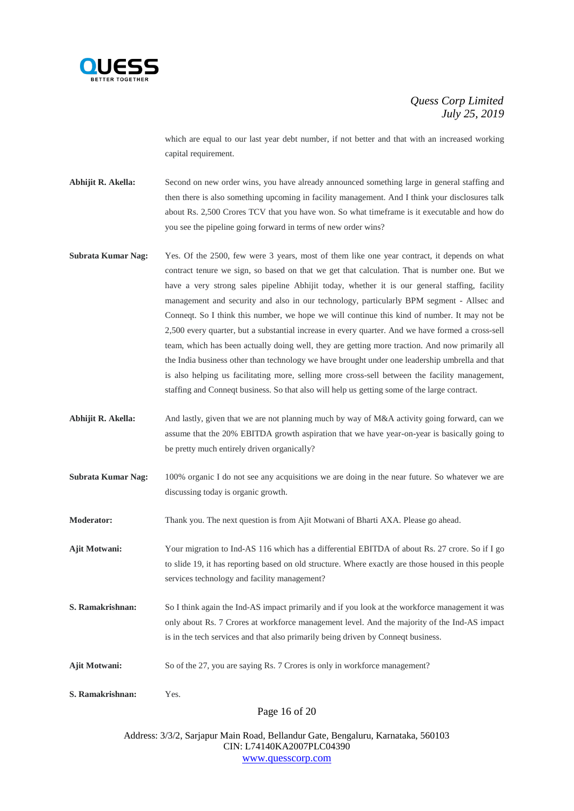

which are equal to our last year debt number, if not better and that with an increased working capital requirement.

**Abhijit R. Akella:** Second on new order wins, you have already announced something large in general staffing and then there is also something upcoming in facility management. And I think your disclosures talk about Rs. 2,500 Crores TCV that you have won. So what timeframe is it executable and how do you see the pipeline going forward in terms of new order wins?

- **Subrata Kumar Nag:** Yes. Of the 2500, few were 3 years, most of them like one year contract, it depends on what contract tenure we sign, so based on that we get that calculation. That is number one. But we have a very strong sales pipeline Abhijit today, whether it is our general staffing, facility management and security and also in our technology, particularly BPM segment - Allsec and Conneqt. So I think this number, we hope we will continue this kind of number. It may not be 2,500 every quarter, but a substantial increase in every quarter. And we have formed a cross-sell team, which has been actually doing well, they are getting more traction. And now primarily all the India business other than technology we have brought under one leadership umbrella and that is also helping us facilitating more, selling more cross-sell between the facility management, staffing and Conneqt business. So that also will help us getting some of the large contract.
- **Abhijit R. Akella:** And lastly, given that we are not planning much by way of M&A activity going forward, can we assume that the 20% EBITDA growth aspiration that we have year-on-year is basically going to be pretty much entirely driven organically?
- **Subrata Kumar Nag:** 100% organic I do not see any acquisitions we are doing in the near future. So whatever we are discussing today is organic growth.
- **Moderator:** Thank you. The next question is from Ajit Motwani of Bharti AXA. Please go ahead.
- **Ajit Motwani:** Your migration to Ind-AS 116 which has a differential EBITDA of about Rs. 27 crore. So if I go to slide 19, it has reporting based on old structure. Where exactly are those housed in this people services technology and facility management?
- **S. Ramakrishnan:** So I think again the Ind-AS impact primarily and if you look at the workforce management it was only about Rs. 7 Crores at workforce management level. And the majority of the Ind-AS impact is in the tech services and that also primarily being driven by Conneqt business.
- Ajit Motwani: So of the 27, you are saying Rs. 7 Crores is only in workforce management?

**S. Ramakrishnan:** Yes.

Page 16 of 20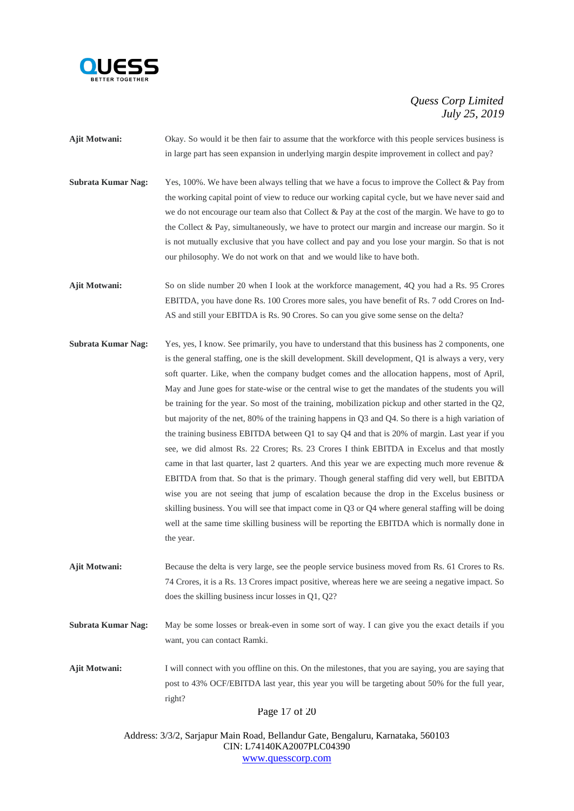

- **Ajit Motwani:** Okay. So would it be then fair to assume that the workforce with this people services business is in large part has seen expansion in underlying margin despite improvement in collect and pay?
- **Subrata Kumar Nag:** Yes, 100%. We have been always telling that we have a focus to improve the Collect & Pay from the working capital point of view to reduce our working capital cycle, but we have never said and we do not encourage our team also that Collect & Pay at the cost of the margin. We have to go to the Collect & Pay, simultaneously, we have to protect our margin and increase our margin. So it is not mutually exclusive that you have collect and pay and you lose your margin. So that is not our philosophy. We do not work on that and we would like to have both.
- **Ajit Motwani:** So on slide number 20 when I look at the workforce management, 4Q you had a Rs. 95 Crores EBITDA, you have done Rs. 100 Crores more sales, you have benefit of Rs. 7 odd Crores on Ind-AS and still your EBITDA is Rs. 90 Crores. So can you give some sense on the delta?
- **Subrata Kumar Nag:** Yes, yes, I know. See primarily, you have to understand that this business has 2 components, one is the general staffing, one is the skill development. Skill development, Q1 is always a very, very soft quarter. Like, when the company budget comes and the allocation happens, most of April, May and June goes for state-wise or the central wise to get the mandates of the students you will be training for the year. So most of the training, mobilization pickup and other started in the Q2, but majority of the net, 80% of the training happens in Q3 and Q4. So there is a high variation of the training business EBITDA between Q1 to say Q4 and that is 20% of margin. Last year if you see, we did almost Rs. 22 Crores; Rs. 23 Crores I think EBITDA in Excelus and that mostly came in that last quarter, last 2 quarters. And this year we are expecting much more revenue  $\&$ EBITDA from that. So that is the primary. Though general staffing did very well, but EBITDA wise you are not seeing that jump of escalation because the drop in the Excelus business or skilling business. You will see that impact come in Q3 or Q4 where general staffing will be doing well at the same time skilling business will be reporting the EBITDA which is normally done in the year.
- **Ajit Motwani:** Because the delta is very large, see the people service business moved from Rs. 61 Crores to Rs. 74 Crores, it is a Rs. 13 Crores impact positive, whereas here we are seeing a negative impact. So does the skilling business incur losses in Q1, Q2?
- **Subrata Kumar Nag:** May be some losses or break-even in some sort of way. I can give you the exact details if you want, you can contact Ramki.
- **Ajit Motwani:** I will connect with you offline on this. On the milestones, that you are saying, you are saying that post to 43% OCF/EBITDA last year, this year you will be targeting about 50% for the full year, right?

Page 17 of 20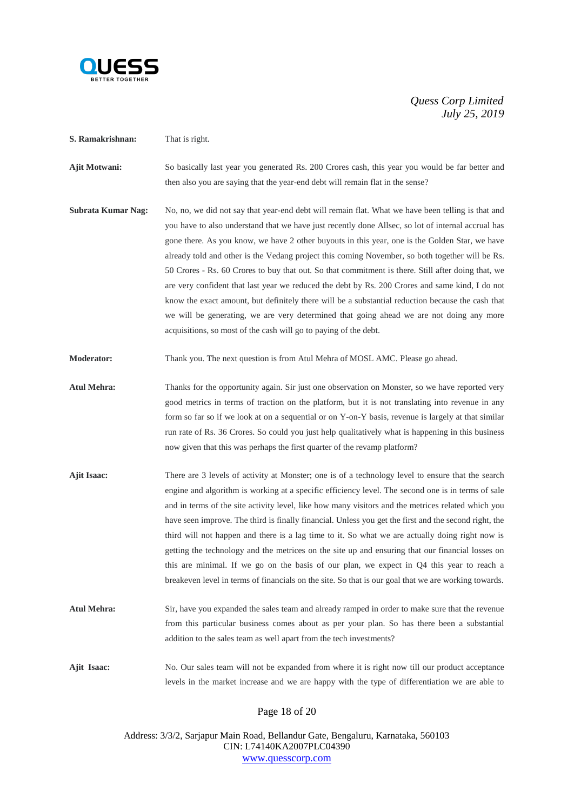

- **S. Ramakrishnan:** That is right.
- **Ajit Motwani:** So basically last year you generated Rs. 200 Crores cash, this year you would be far better and then also you are saying that the year-end debt will remain flat in the sense?
- **Subrata Kumar Nag:** No, no, we did not say that year-end debt will remain flat. What we have been telling is that and you have to also understand that we have just recently done Allsec, so lot of internal accrual has gone there. As you know, we have 2 other buyouts in this year, one is the Golden Star, we have already told and other is the Vedang project this coming November, so both together will be Rs. 50 Crores - Rs. 60 Crores to buy that out. So that commitment is there. Still after doing that, we are very confident that last year we reduced the debt by Rs. 200 Crores and same kind, I do not know the exact amount, but definitely there will be a substantial reduction because the cash that we will be generating, we are very determined that going ahead we are not doing any more acquisitions, so most of the cash will go to paying of the debt.
- **Moderator:** Thank you. The next question is from Atul Mehra of MOSL AMC. Please go ahead.
- **Atul Mehra:** Thanks for the opportunity again. Sir just one observation on Monster, so we have reported very good metrics in terms of traction on the platform, but it is not translating into revenue in any form so far so if we look at on a sequential or on Y-on-Y basis, revenue is largely at that similar run rate of Rs. 36 Crores. So could you just help qualitatively what is happening in this business now given that this was perhaps the first quarter of the revamp platform?
- **Ajit Isaac:** There are 3 levels of activity at Monster; one is of a technology level to ensure that the search engine and algorithm is working at a specific efficiency level. The second one is in terms of sale and in terms of the site activity level, like how many visitors and the metrices related which you have seen improve. The third is finally financial. Unless you get the first and the second right, the third will not happen and there is a lag time to it. So what we are actually doing right now is getting the technology and the metrices on the site up and ensuring that our financial losses on this are minimal. If we go on the basis of our plan, we expect in Q4 this year to reach a breakeven level in terms of financials on the site. So that is our goal that we are working towards.
- **Atul Mehra:** Sir, have you expanded the sales team and already ramped in order to make sure that the revenue from this particular business comes about as per your plan. So has there been a substantial addition to the sales team as well apart from the tech investments?
- **Ajit Isaac:** No. Our sales team will not be expanded from where it is right now till our product acceptance levels in the market increase and we are happy with the type of differentiation we are able to

## Page 18 of 20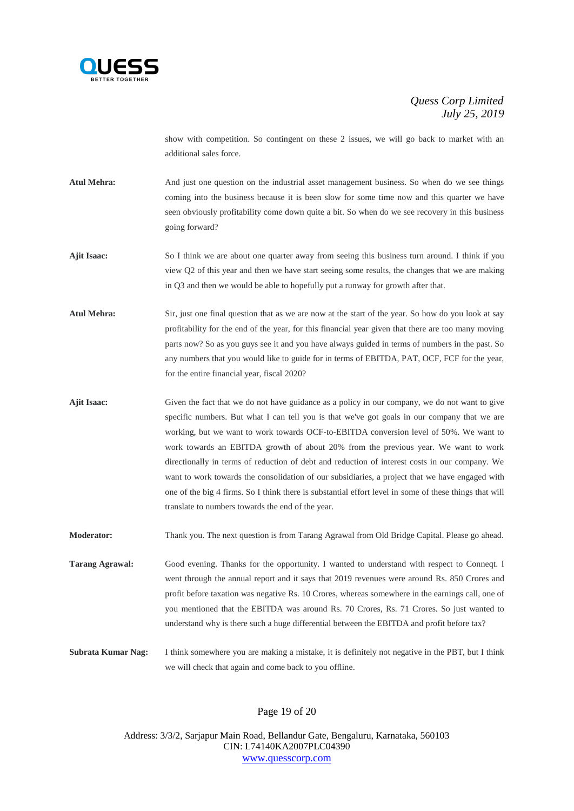

show with competition. So contingent on these 2 issues, we will go back to market with an additional sales force.

- **Atul Mehra:** And just one question on the industrial asset management business. So when do we see things coming into the business because it is been slow for some time now and this quarter we have seen obviously profitability come down quite a bit. So when do we see recovery in this business going forward?
- **Ajit Isaac:** So I think we are about one quarter away from seeing this business turn around. I think if you view Q2 of this year and then we have start seeing some results, the changes that we are making in Q3 and then we would be able to hopefully put a runway for growth after that.
- **Atul Mehra:** Sir, just one final question that as we are now at the start of the year. So how do you look at say profitability for the end of the year, for this financial year given that there are too many moving parts now? So as you guys see it and you have always guided in terms of numbers in the past. So any numbers that you would like to guide for in terms of EBITDA, PAT, OCF, FCF for the year, for the entire financial year, fiscal 2020?
- **Ajit Isaac:** Given the fact that we do not have guidance as a policy in our company, we do not want to give specific numbers. But what I can tell you is that we've got goals in our company that we are working, but we want to work towards OCF-to-EBITDA conversion level of 50%. We want to work towards an EBITDA growth of about 20% from the previous year. We want to work directionally in terms of reduction of debt and reduction of interest costs in our company. We want to work towards the consolidation of our subsidiaries, a project that we have engaged with one of the big 4 firms. So I think there is substantial effort level in some of these things that will translate to numbers towards the end of the year.

**Moderator:** Thank you. The next question is from Tarang Agrawal from Old Bridge Capital. Please go ahead.

**Tarang Agrawal:** Good evening. Thanks for the opportunity. I wanted to understand with respect to Conneqt. I went through the annual report and it says that 2019 revenues were around Rs. 850 Crores and profit before taxation was negative Rs. 10 Crores, whereas somewhere in the earnings call, one of you mentioned that the EBITDA was around Rs. 70 Crores, Rs. 71 Crores. So just wanted to understand why is there such a huge differential between the EBITDA and profit before tax?

**Subrata Kumar Nag:** I think somewhere you are making a mistake, it is definitely not negative in the PBT, but I think we will check that again and come back to you offline.

Page 19 of 20